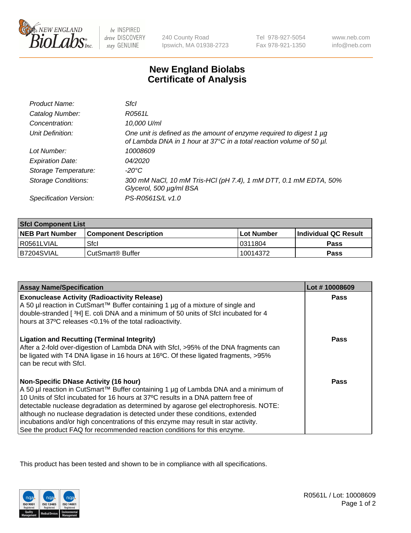

be INSPIRED drive DISCOVERY stay GENUINE

240 County Road Ipswich, MA 01938-2723 Tel 978-927-5054 Fax 978-921-1350

www.neb.com info@neb.com

## **New England Biolabs Certificate of Analysis**

| Product Name:              | Sfcl                                                                                                                                        |
|----------------------------|---------------------------------------------------------------------------------------------------------------------------------------------|
| Catalog Number:            | R0561L                                                                                                                                      |
| Concentration:             | 10,000 U/ml                                                                                                                                 |
| Unit Definition:           | One unit is defined as the amount of enzyme required to digest 1 µg<br>of Lambda DNA in 1 hour at 37°C in a total reaction volume of 50 µl. |
| Lot Number:                | 10008609                                                                                                                                    |
| <b>Expiration Date:</b>    | 04/2020                                                                                                                                     |
| Storage Temperature:       | -20°C                                                                                                                                       |
| <b>Storage Conditions:</b> | 300 mM NaCl, 10 mM Tris-HCl (pH 7.4), 1 mM DTT, 0.1 mM EDTA, 50%<br>Glycerol, 500 µg/ml BSA                                                 |
| Specification Version:     | PS-R0561S/L v1.0                                                                                                                            |

| <b>Sfcl Component List</b> |                              |              |                             |  |
|----------------------------|------------------------------|--------------|-----------------------------|--|
| <b>NEB Part Number</b>     | <b>Component Description</b> | l Lot Number | <b>Individual QC Result</b> |  |
| I R0561LVIAL               | Sfcl                         | 10311804     | Pass                        |  |
| B7204SVIAL                 | l CutSmart® Buffer           | 10014372     | Pass                        |  |

| <b>Assay Name/Specification</b>                                                                                                                                                                                                                                                                                                        | Lot #10008609 |
|----------------------------------------------------------------------------------------------------------------------------------------------------------------------------------------------------------------------------------------------------------------------------------------------------------------------------------------|---------------|
| <b>Exonuclease Activity (Radioactivity Release)</b>                                                                                                                                                                                                                                                                                    | Pass          |
| A 50 µl reaction in CutSmart™ Buffer containing 1 µg of a mixture of single and                                                                                                                                                                                                                                                        |               |
| double-stranded [3H] E. coli DNA and a minimum of 50 units of Sfcl incubated for 4<br>hours at 37°C releases < 0.1% of the total radioactivity.                                                                                                                                                                                        |               |
|                                                                                                                                                                                                                                                                                                                                        |               |
| <b>Ligation and Recutting (Terminal Integrity)</b><br>After a 2-fold over-digestion of Lambda DNA with Sfcl, >95% of the DNA fragments can<br>be ligated with T4 DNA ligase in 16 hours at 16°C. Of these ligated fragments, >95%<br>can be recut with Sfcl.                                                                           | Pass          |
| <b>Non-Specific DNase Activity (16 hour)</b>                                                                                                                                                                                                                                                                                           | Pass          |
| A 50 µl reaction in CutSmart™ Buffer containing 1 µg of Lambda DNA and a minimum of                                                                                                                                                                                                                                                    |               |
| 10 Units of SfcI incubated for 16 hours at 37°C results in a DNA pattern free of                                                                                                                                                                                                                                                       |               |
|                                                                                                                                                                                                                                                                                                                                        |               |
|                                                                                                                                                                                                                                                                                                                                        |               |
|                                                                                                                                                                                                                                                                                                                                        |               |
| detectable nuclease degradation as determined by agarose gel electrophoresis. NOTE:<br>although no nuclease degradation is detected under these conditions, extended<br>incubations and/or high concentrations of this enzyme may result in star activity.<br>See the product FAQ for recommended reaction conditions for this enzyme. |               |

This product has been tested and shown to be in compliance with all specifications.